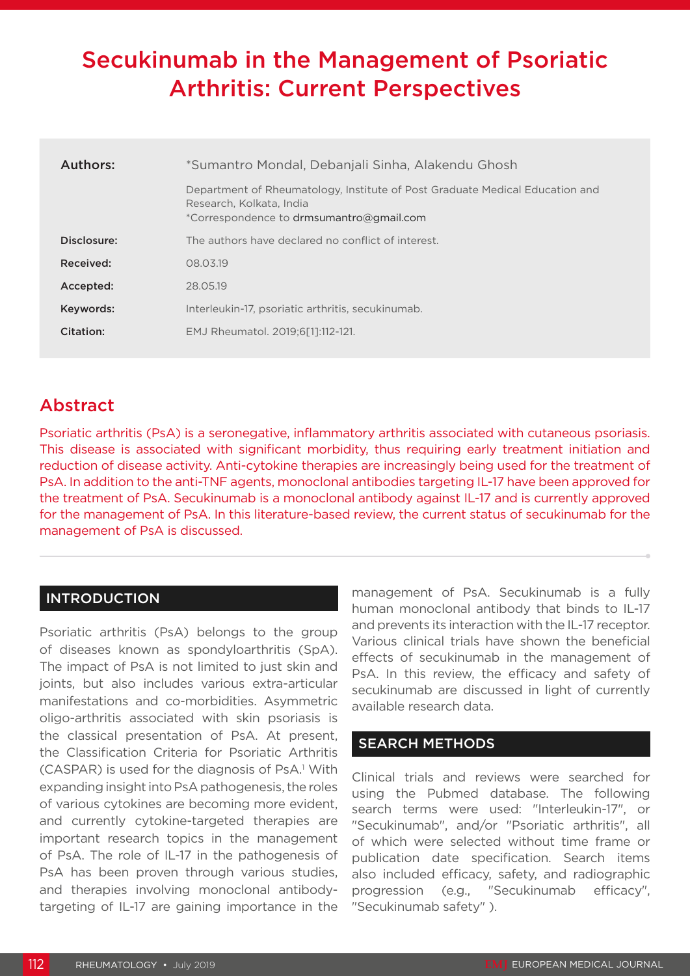# Secukinumab in the Management of Psoriatic Arthritis: Current Perspectives

| Authors:    | *Sumantro Mondal, Debanjali Sinha, Alakendu Ghosh                                                                                                    |  |  |
|-------------|------------------------------------------------------------------------------------------------------------------------------------------------------|--|--|
|             | Department of Rheumatology, Institute of Post Graduate Medical Education and<br>Research, Kolkata, India<br>*Correspondence to drmsumantro@gmail.com |  |  |
| Disclosure: | The authors have declared no conflict of interest.                                                                                                   |  |  |
| Received:   | 08.03.19                                                                                                                                             |  |  |
| Accepted:   | 28.05.19                                                                                                                                             |  |  |
| Keywords:   | Interleukin-17, psoriatic arthritis, secukinumab.                                                                                                    |  |  |
| Citation:   | EMJ Rheumatol. 2019:6[11:112-121.                                                                                                                    |  |  |

## Abstract

Psoriatic arthritis (PsA) is a seronegative, inflammatory arthritis associated with cutaneous psoriasis. This disease is associated with significant morbidity, thus requiring early treatment initiation and reduction of disease activity. Anti-cytokine therapies are increasingly being used for the treatment of PsA. In addition to the anti-TNF agents, monoclonal antibodies targeting IL-17 have been approved for the treatment of PsA. Secukinumab is a monoclonal antibody against IL-17 and is currently approved for the management of PsA. In this literature-based review, the current status of secukinumab for the management of PsA is discussed.

#### INTRODUCTION

Psoriatic arthritis (PsA) belongs to the group of diseases known as spondyloarthritis (SpA). The impact of PsA is not limited to just skin and joints, but also includes various extra-articular manifestations and co-morbidities. Asymmetric oligo-arthritis associated with skin psoriasis is the classical presentation of PsA. At present, the Classification Criteria for Psoriatic Arthritis (CASPAR) is used for the diagnosis of PsA.<sup>1</sup> With expanding insight into PsA pathogenesis, the roles of various cytokines are becoming more evident, and currently cytokine-targeted therapies are important research topics in the management of PsA. The role of IL-17 in the pathogenesis of PsA has been proven through various studies, and therapies involving monoclonal antibodytargeting of IL-17 are gaining importance in the

management of PsA. Secukinumab is a fully human monoclonal antibody that binds to IL-17 and prevents its interaction with the IL-17 receptor. Various clinical trials have shown the beneficial effects of secukinumab in the management of PsA. In this review, the efficacy and safety of secukinumab are discussed in light of currently available research data.

### SEARCH METHODS

Clinical trials and reviews were searched for using the Pubmed database. The following search terms were used: "Interleukin-17", or "Secukinumab", and/or "Psoriatic arthritis", all of which were selected without time frame or publication date specification. Search items also included efficacy, safety, and radiographic progression (e.g., "Secukinumab efficacy", "Secukinumab safety" ).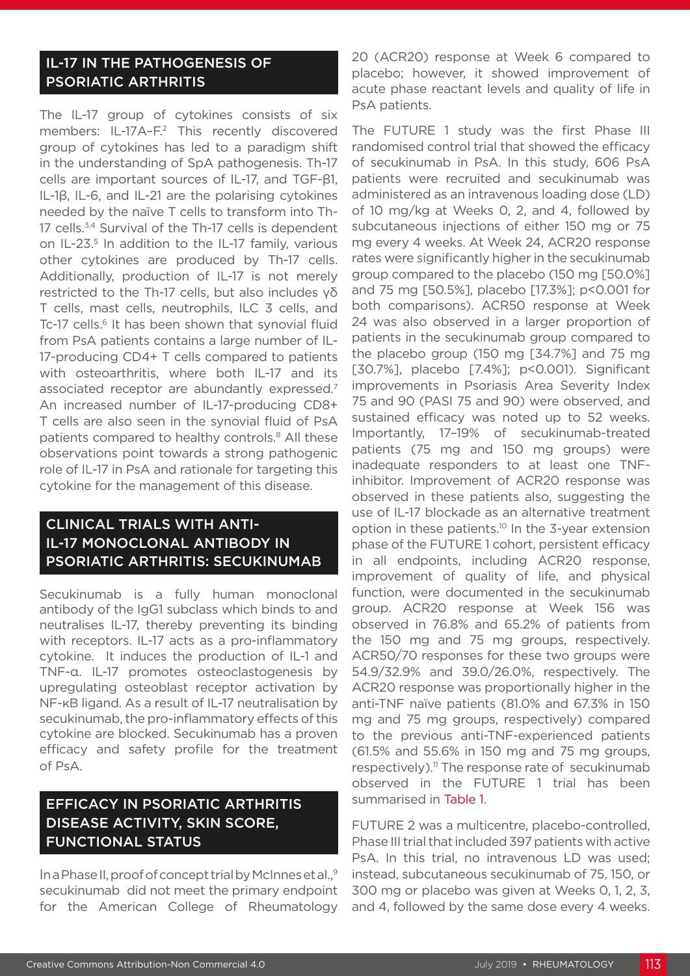#### IL-17 IN THE PATHOGENESIS OF PSORIATIC ARTHRITIS

The IL-17 group of cytokines consists of six members: IL-17A-F.<sup>2</sup> This recently discovered group of cytokines has led to a paradigm shift in the understanding of SpA pathogenesis. Th-17 cells are important sources of IL-17, and TGF-β1, IL-1β, IL-6, and IL-21 are the polarising cytokines needed by the naïve T cells to transform into Th-17 cells.<sup>3,4</sup> Survival of the Th-17 cells is dependent on IL-23.<sup>5</sup> In addition to the IL-17 family, various other cytokines are produced by Th-17 cells. Additionally, production of IL-17 is not merely restricted to the Th-17 cells, but also includes γδ T cells, mast cells, neutrophils, ILC 3 cells, and Tc-17 cells.<sup>6</sup> It has been shown that synovial fluid from PsA patients contains a large number of IL-17-producing CD4+ T cells compared to patients with osteoarthritis, where both IL-17 and its associated receptor are abundantly expressed.7 An increased number of IL-17-producing CD8+ T cells are also seen in the synovial fluid of PsA patients compared to healthy controls.<sup>8</sup> All these observations point towards a strong pathogenic role of IL-17 in PsA and rationale for targeting this cytokine for the management of this disease.

#### CLINICAL TRIALS WITH ANTI-IL-17 MONOCLONAL ANTIBODY IN PSORIATIC ARTHRITIS: SECUKINUMAB

Secukinumab is a fully human monoclonal antibody of the IgG1 subclass which binds to and neutralises IL-17, thereby preventing its binding with receptors. IL-17 acts as a pro-inflammatory cytokine. It induces the production of IL-1 and TNF-α. IL-17 promotes osteoclastogenesis by upregulating osteoblast receptor activation by NF-κB ligand. As a result of IL-17 neutralisation by secukinumab, the pro-inflammatory effects of this cytokine are blocked. Secukinumab has a proven efficacy and safety profile for the treatment of PsA.

### EFFICACY IN PSORIATIC ARTHRITIS DISEASE ACTIVITY, SKIN SCORE, FUNCTIONAL STATUS

In a Phase II, proof of concept trial by McInnes et al.,9 secukinumab did not meet the primary endpoint for the American College of Rheumatology

20 (ACR20) response at Week 6 compared to placebo; however, it showed improvement of acute phase reactant levels and quality of life in PsA patients.

The FUTURE 1 study was the first Phase III randomised control trial that showed the efficacy of secukinumab in PsA. In this study, 606 PsA patients were recruited and secukinumab was administered as an intravenous loading dose (LD) of 10 mg/kg at Weeks 0, 2, and 4, followed by subcutaneous injections of either 150 mg or 75 mg every 4 weeks. At Week 24, ACR20 response rates were significantly higher in the secukinumab group compared to the placebo (150 mg [50.0%] and 75 mg [50.5%], placebo [17.3%]; p<0.001 for both comparisons). ACR50 response at Week 24 was also observed in a larger proportion of patients in the secukinumab group compared to the placebo group (150 mg [34.7%] and 75 mg [30.7%], placebo [7.4%]; p<0.001). Significant improvements in Psoriasis Area Severity Index 75 and 90 (PASI 75 and 90) were observed, and sustained efficacy was noted up to 52 weeks. Importantly, 17–19% of secukinumab-treated patients (75 mg and 150 mg groups) were inadequate responders to at least one TNFinhibitor. Improvement of ACR20 response was observed in these patients also, suggesting the use of IL-17 blockade as an alternative treatment option in these patients.10 In the 3-year extension phase of the FUTURE 1 cohort, persistent efficacy in all endpoints, including ACR20 response, improvement of quality of life, and physical function, were documented in the secukinumab group. ACR20 response at Week 156 was observed in 76.8% and 65.2% of patients from the 150 mg and 75 mg groups, respectively. ACR50/70 responses for these two groups were 54.9/32.9% and 39.0/26.0%, respectively. The ACR20 response was proportionally higher in the anti-TNF naïve patients (81.0% and 67.3% in 150 mg and 75 mg groups, respectively) compared to the previous anti-TNF-experienced patients (61.5% and 55.6% in 150 mg and 75 mg groups, respectively).<sup>11</sup> The response rate of secukinumab observed in the FUTURE 1 trial has been summarised in Table 1.

FUTURE 2 was a multicentre, placebo-controlled, Phase III trial that included 397 patients with active PsA. In this trial, no intravenous LD was used; instead, subcutaneous secukinumab of 75, 150, or 300 mg or placebo was given at Weeks 0, 1, 2, 3, and 4, followed by the same dose every 4 weeks.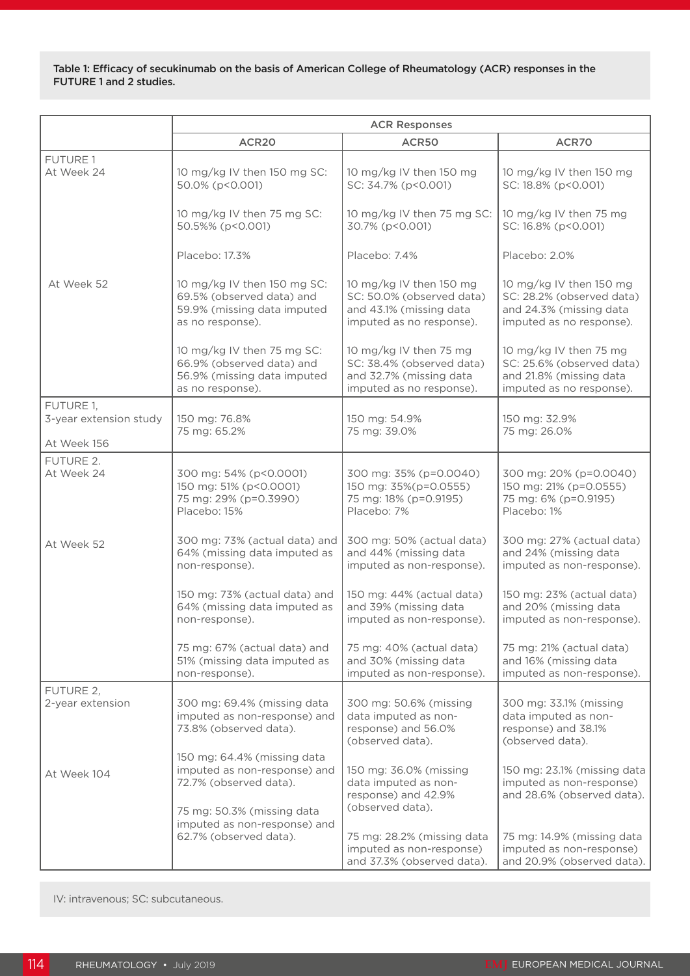Table 1: Efficacy of secukinumab on the basis of American College of Rheumatology (ACR) responses in the FUTURE 1 and 2 studies.

|                                                    | <b>ACR Responses</b>                                                                                                |                                                                                                             |                                                                                                             |  |
|----------------------------------------------------|---------------------------------------------------------------------------------------------------------------------|-------------------------------------------------------------------------------------------------------------|-------------------------------------------------------------------------------------------------------------|--|
|                                                    | ACR <sub>20</sub>                                                                                                   | ACR50                                                                                                       | ACR70                                                                                                       |  |
| <b>FUTURE 1</b><br>At Week 24                      | 10 mg/kg IV then 150 mg SC:<br>50.0% (p<0.001)                                                                      | 10 mg/kg IV then 150 mg<br>SC: 34.7% (p<0.001)                                                              | 10 mg/kg IV then 150 mg<br>SC: 18.8% (p<0.001)                                                              |  |
|                                                    | 10 mg/kg IV then 75 mg SC:<br>50.5%% (p<0.001)                                                                      | 10 mg/kg IV then 75 mg SC:<br>30.7% (p<0.001)                                                               | 10 mg/kg IV then 75 mg<br>SC: 16.8% (p<0.001)                                                               |  |
|                                                    | Placebo: 17.3%                                                                                                      | Placebo: 7.4%                                                                                               | Placebo: 2.0%                                                                                               |  |
| At Week 52                                         | 10 mg/kg IV then 150 mg SC:<br>69.5% (observed data) and<br>59.9% (missing data imputed<br>as no response).         | 10 mg/kg IV then 150 mg<br>SC: 50.0% (observed data)<br>and 43.1% (missing data<br>imputed as no response). | 10 mg/kg IV then 150 mg<br>SC: 28.2% (observed data)<br>and 24.3% (missing data<br>imputed as no response). |  |
|                                                    | 10 mg/kg IV then 75 mg SC:<br>66.9% (observed data) and<br>56.9% (missing data imputed<br>as no response).          | 10 mg/kg IV then 75 mg<br>SC: 38.4% (observed data)<br>and 32.7% (missing data<br>imputed as no response).  | 10 mg/kg IV then 75 mg<br>SC: 25.6% (observed data)<br>and 21.8% (missing data<br>imputed as no response).  |  |
| FUTURE 1,<br>3-year extension study<br>At Week 156 | 150 mg: 76.8%<br>75 mg: 65.2%                                                                                       | 150 mg: 54.9%<br>75 mg: 39.0%                                                                               | 150 mg: 32.9%<br>75 mg: 26.0%                                                                               |  |
| FUTURE 2.                                          |                                                                                                                     |                                                                                                             |                                                                                                             |  |
| At Week 24                                         | 300 mg: 54% (p<0.0001)<br>150 mg: 51% (p<0.0001)<br>75 mg: 29% (p=0.3990)<br>Placebo: 15%                           | 300 mg: 35% (p=0.0040)<br>150 mg: 35%(p=0.0555)<br>75 mg: 18% (p=0.9195)<br>Placebo: 7%                     | 300 mg: 20% (p=0.0040)<br>150 mg: 21% (p=0.0555)<br>75 mg: 6% (p=0.9195)<br>Placebo: 1%                     |  |
| At Week 52                                         | 300 mg: 73% (actual data) and<br>64% (missing data imputed as<br>non-response).                                     | 300 mg: 50% (actual data)<br>and 44% (missing data<br>imputed as non-response).                             | 300 mg: 27% (actual data)<br>and 24% (missing data<br>imputed as non-response).                             |  |
|                                                    | 150 mg: 73% (actual data) and<br>64% (missing data imputed as<br>non-response).                                     | 150 mg: 44% (actual data)<br>and 39% (missing data<br>imputed as non-response).                             | 150 mg: 23% (actual data)<br>and 20% (missing data<br>imputed as non-response).                             |  |
|                                                    | 75 mg: 67% (actual data) and<br>51% (missing data imputed as<br>non-response).                                      | 75 mg: 40% (actual data)<br>and 30% (missing data<br>imputed as non-response).                              | 75 mg: 21% (actual data)<br>and 16% (missing data<br>imputed as non-response).                              |  |
| FUTURE 2,                                          |                                                                                                                     |                                                                                                             |                                                                                                             |  |
| 2-year extension                                   | 300 mg: 69.4% (missing data<br>imputed as non-response) and<br>73.8% (observed data).                               | 300 mg: 50.6% (missing<br>data imputed as non-<br>response) and 56.0%<br>(observed data).                   | 300 mg: 33.1% (missing<br>data imputed as non-<br>response) and 38.1%<br>(observed data).                   |  |
| At Week 104                                        | 150 mg: 64.4% (missing data<br>imputed as non-response) and<br>72.7% (observed data).<br>75 mg: 50.3% (missing data | 150 mg: 36.0% (missing<br>data imputed as non-<br>response) and 42.9%<br>(observed data).                   | 150 mg: 23.1% (missing data<br>imputed as non-response)<br>and 28.6% (observed data).                       |  |
|                                                    | imputed as non-response) and<br>62.7% (observed data).                                                              | 75 mg: 28.2% (missing data<br>imputed as non-response)<br>and 37.3% (observed data).                        | 75 mg: 14.9% (missing data<br>imputed as non-response)<br>and 20.9% (observed data).                        |  |

IV: intravenous; SC: subcutaneous.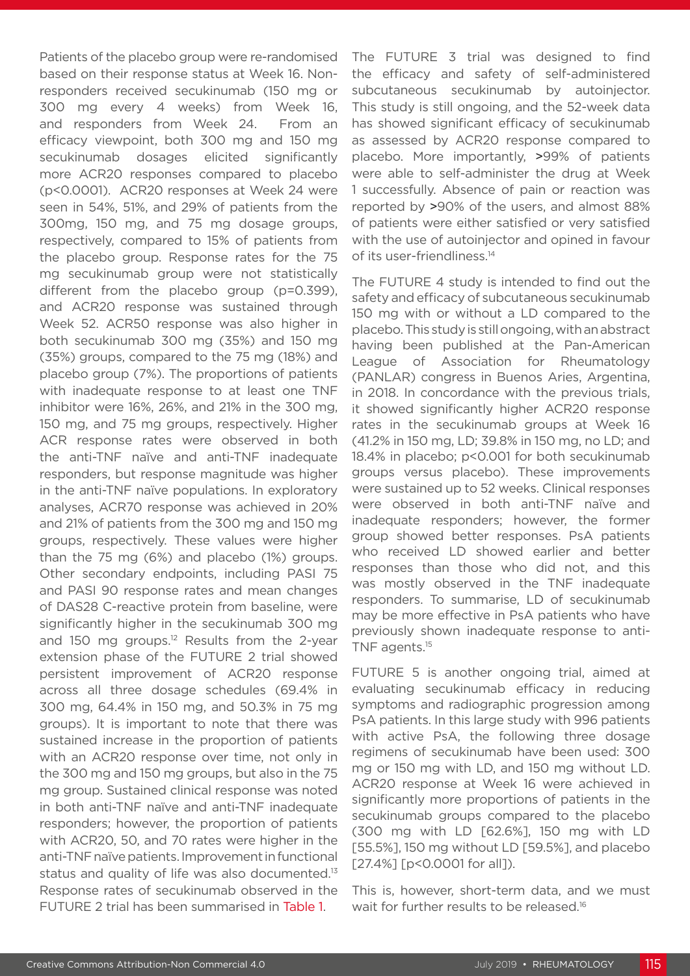Patients of the placebo group were re-randomised based on their response status at Week 16. Nonresponders received secukinumab (150 mg or 300 mg every 4 weeks) from Week 16, and responders from Week 24. From an efficacy viewpoint, both 300 mg and 150 mg secukinumab dosages elicited significantly more ACR20 responses compared to placebo (p<0.0001). ACR20 responses at Week 24 were seen in 54%, 51%, and 29% of patients from the 300mg, 150 mg, and 75 mg dosage groups, respectively, compared to 15% of patients from the placebo group. Response rates for the 75 mg secukinumab group were not statistically different from the placebo group (p=0.399), and ACR20 response was sustained through Week 52. ACR50 response was also higher in both secukinumab 300 mg (35%) and 150 mg (35%) groups, compared to the 75 mg (18%) and placebo group (7%). The proportions of patients with inadequate response to at least one TNF inhibitor were 16%, 26%, and 21% in the 300 mg, 150 mg, and 75 mg groups, respectively. Higher ACR response rates were observed in both the anti-TNF naïve and anti-TNF inadequate responders, but response magnitude was higher in the anti-TNF naïve populations. In exploratory analyses, ACR70 response was achieved in 20% and 21% of patients from the 300 mg and 150 mg groups, respectively. These values were higher than the 75 mg (6%) and placebo (1%) groups. Other secondary endpoints, including PASI 75 and PASI 90 response rates and mean changes of DAS28 C-reactive protein from baseline, were significantly higher in the secukinumab 300 mg and 150 mg groups.<sup>12</sup> Results from the 2-year extension phase of the FUTURE 2 trial showed persistent improvement of ACR20 response across all three dosage schedules (69.4% in 300 mg, 64.4% in 150 mg, and 50.3% in 75 mg groups). It is important to note that there was sustained increase in the proportion of patients with an ACR20 response over time, not only in the 300 mg and 150 mg groups, but also in the 75 mg group. Sustained clinical response was noted in both anti-TNF naïve and anti-TNF inadequate responders; however, the proportion of patients with ACR20, 50, and 70 rates were higher in the anti-TNF naïve patients. Improvement in functional status and quality of life was also documented.<sup>13</sup> Response rates of secukinumab observed in the FUTURE 2 trial has been summarised in Table 1.

The FUTURE 3 trial was designed to find the efficacy and safety of self-administered subcutaneous secukinumab by autoinjector. This study is still ongoing, and the 52-week data has showed significant efficacy of secukinumab as assessed by ACR20 response compared to placebo. More importantly, >99% of patients were able to self-administer the drug at Week 1 successfully. Absence of pain or reaction was reported by >90% of the users, and almost 88% of patients were either satisfied or very satisfied with the use of autoinjector and opined in favour of its user-friendliness.<sup>14</sup>

The FUTURE 4 study is intended to find out the safety and efficacy of subcutaneous secukinumab 150 mg with or without a LD compared to the placebo. This study is still ongoing, with an abstract having been published at the Pan-American League of Association for Rheumatology (PANLAR) congress in Buenos Aries, Argentina, in 2018. In concordance with the previous trials, it showed significantly higher ACR20 response rates in the secukinumab groups at Week 16 (41.2% in 150 mg, LD; 39.8% in 150 mg, no LD; and 18.4% in placebo; p<0.001 for both secukinumab groups versus placebo). These improvements were sustained up to 52 weeks. Clinical responses were observed in both anti-TNF naïve and inadequate responders; however, the former group showed better responses. PsA patients who received LD showed earlier and better responses than those who did not, and this was mostly observed in the TNF inadequate responders. To summarise, LD of secukinumab may be more effective in PsA patients who have previously shown inadequate response to anti-TNF agents.15

FUTURE 5 is another ongoing trial, aimed at evaluating secukinumab efficacy in reducing symptoms and radiographic progression among PsA patients. In this large study with 996 patients with active PsA, the following three dosage regimens of secukinumab have been used: 300 mg or 150 mg with LD, and 150 mg without LD. ACR20 response at Week 16 were achieved in significantly more proportions of patients in the secukinumab groups compared to the placebo (300 mg with LD [62.6%], 150 mg with LD [55.5%], 150 mg without LD [59.5%], and placebo [27.4%] [p<0.0001 for all]).

This is, however, short-term data, and we must wait for further results to be released.<sup>16</sup>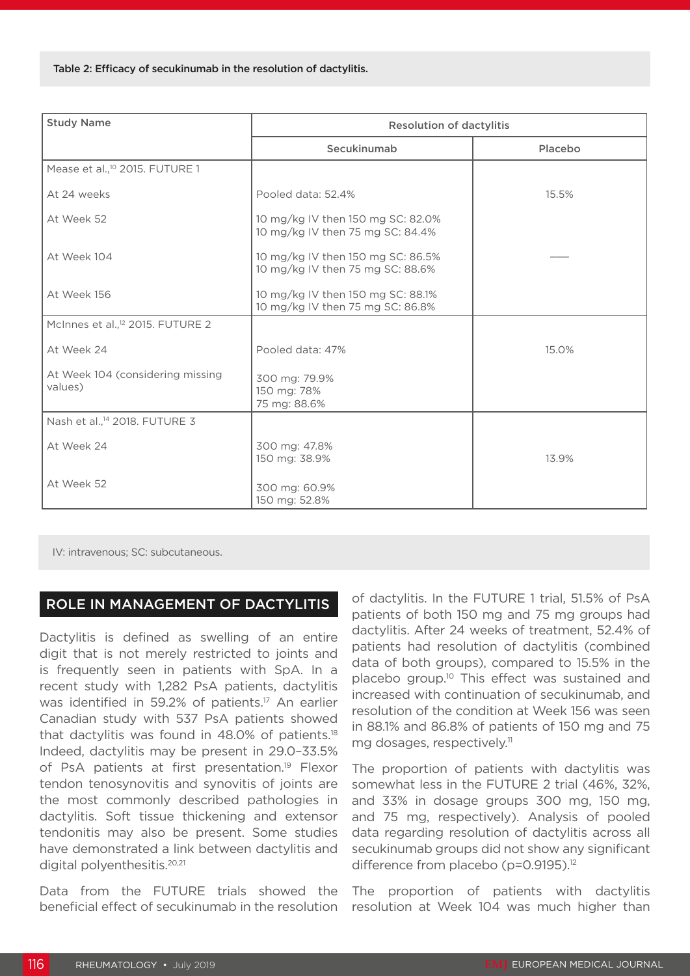| <b>Study Name</b>                            | <b>Resolution of dactylitis</b>                                       |         |  |
|----------------------------------------------|-----------------------------------------------------------------------|---------|--|
|                                              | Secukinumab                                                           | Placebo |  |
| Mease et al., <sup>10</sup> 2015. FUTURE 1   |                                                                       |         |  |
| At 24 weeks                                  | Pooled data: 52.4%                                                    | 15.5%   |  |
| At Week 52                                   | 10 mg/kg IV then 150 mg SC: 82.0%<br>10 mg/kg IV then 75 mg SC: 84.4% |         |  |
| At Week 104                                  | 10 mg/kg IV then 150 mg SC: 86.5%<br>10 mg/kg IV then 75 mg SC: 88.6% |         |  |
| At Week 156                                  | 10 mg/kg IV then 150 mg SC: 88.1%<br>10 mg/kg IV then 75 mg SC: 86.8% |         |  |
| McInnes et al., <sup>12</sup> 2015. FUTURE 2 |                                                                       |         |  |
| At Week 24                                   | Pooled data: 47%                                                      | 15.0%   |  |
| At Week 104 (considering missing<br>values)  | 300 mg: 79.9%<br>150 mg: 78%<br>75 mg: 88.6%                          |         |  |
| Nash et al., <sup>14</sup> 2018. FUTURE 3    |                                                                       |         |  |
| At Week 24                                   | 300 mg: 47.8%<br>150 mg: 38.9%                                        | 13.9%   |  |
| At Week 52                                   | 300 mg: 60.9%<br>150 mg: 52.8%                                        |         |  |

IV: intravenous; SC: subcutaneous.

#### ROLE IN MANAGEMENT OF DACTYLITIS

Dactylitis is defined as swelling of an entire digit that is not merely restricted to joints and is frequently seen in patients with SpA. In a recent study with 1,282 PsA patients, dactylitis was identified in 59.2% of patients.<sup>17</sup> An earlier Canadian study with 537 PsA patients showed that dactylitis was found in  $48.0\%$  of patients.<sup>18</sup> Indeed, dactylitis may be present in 29.0–33.5% of PsA patients at first presentation.<sup>19</sup> Flexor tendon tenosynovitis and synovitis of joints are the most commonly described pathologies in dactylitis. Soft tissue thickening and extensor tendonitis may also be present. Some studies have demonstrated a link between dactylitis and digital polyenthesitis.20,21

Data from the FUTURE trials showed the beneficial effect of secukinumab in the resolution of dactylitis. In the FUTURE 1 trial, 51.5% of PsA patients of both 150 mg and 75 mg groups had dactylitis. After 24 weeks of treatment, 52.4% of patients had resolution of dactylitis (combined data of both groups), compared to 15.5% in the placebo group.10 This effect was sustained and increased with continuation of secukinumab, and resolution of the condition at Week 156 was seen in 88.1% and 86.8% of patients of 150 mg and 75 mg dosages, respectively.<sup>11</sup>

The proportion of patients with dactylitis was somewhat less in the FUTURE 2 trial (46%, 32%, and 33% in dosage groups 300 mg, 150 mg, and 75 mg, respectively). Analysis of pooled data regarding resolution of dactylitis across all secukinumab groups did not show any significant difference from placebo (p=0.9195).<sup>12</sup>

The proportion of patients with dactylitis resolution at Week 104 was much higher than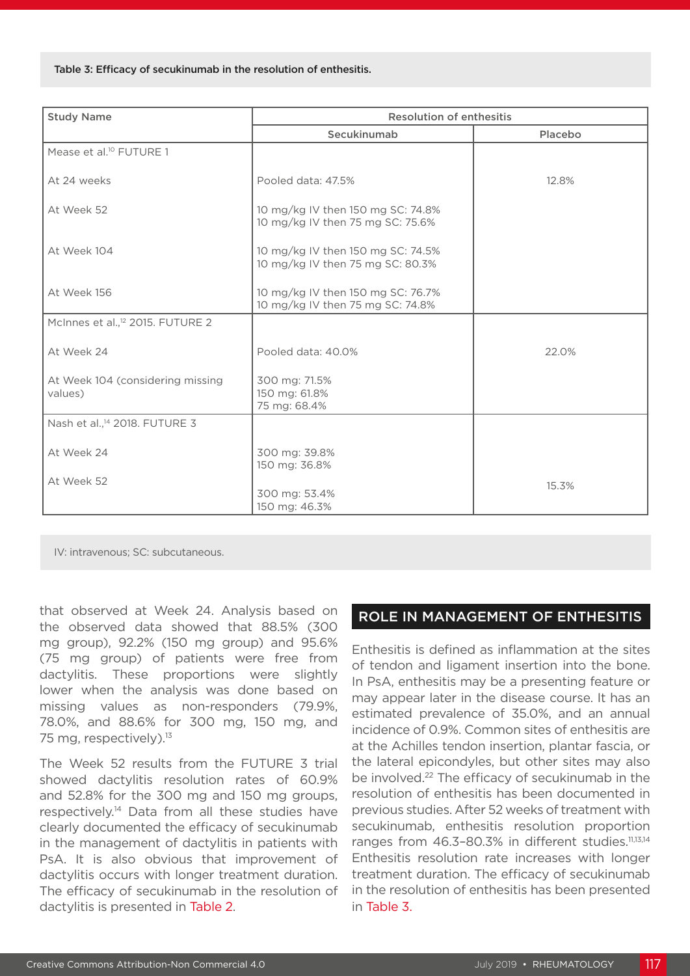Table 3: Efficacy of secukinumab in the resolution of enthesitis.

| <b>Study Name</b>                            | <b>Resolution of enthesitis</b>                                       |         |  |
|----------------------------------------------|-----------------------------------------------------------------------|---------|--|
|                                              | Secukinumab                                                           | Placebo |  |
| Mease et al. <sup>10</sup> FUTURE 1          |                                                                       |         |  |
| At 24 weeks                                  | Pooled data: 47.5%                                                    | 12.8%   |  |
| At Week 52                                   | 10 mg/kg IV then 150 mg SC: 74.8%<br>10 mg/kg IV then 75 mg SC: 75.6% |         |  |
| At Week 104                                  | 10 mg/kg IV then 150 mg SC: 74.5%<br>10 mg/kg IV then 75 mg SC: 80.3% |         |  |
| At Week 156                                  | 10 mg/kg IV then 150 mg SC: 76.7%<br>10 mg/kg IV then 75 mg SC: 74.8% |         |  |
| McInnes et al., <sup>12</sup> 2015. FUTURE 2 |                                                                       |         |  |
| At Week 24                                   | Pooled data: 40.0%                                                    | 22.0%   |  |
| At Week 104 (considering missing<br>values)  | 300 mg: 71.5%<br>150 mg: 61.8%<br>75 mg: 68.4%                        |         |  |
| Nash et al., <sup>14</sup> 2018. FUTURE 3    |                                                                       |         |  |
| At Week 24                                   | 300 mg: 39.8%<br>150 mg: 36.8%                                        |         |  |
| At Week 52                                   | 300 mg: 53.4%<br>150 mg: 46.3%                                        | 15.3%   |  |

IV: intravenous; SC: subcutaneous.

that observed at Week 24. Analysis based on the observed data showed that 88.5% (300 mg group), 92.2% (150 mg group) and 95.6% (75 mg group) of patients were free from dactylitis. These proportions were slightly lower when the analysis was done based on missing values as non-responders (79.9%, 78.0%, and 88.6% for 300 mg, 150 mg, and 75 mg, respectively).<sup>13</sup>

The Week 52 results from the FUTURE 3 trial showed dactylitis resolution rates of 60.9% and 52.8% for the 300 mg and 150 mg groups, respectively.14 Data from all these studies have clearly documented the efficacy of secukinumab in the management of dactylitis in patients with PsA. It is also obvious that improvement of dactylitis occurs with longer treatment duration. The efficacy of secukinumab in the resolution of dactylitis is presented in Table 2.

#### ROLE IN MANAGEMENT OF ENTHESITIS

Enthesitis is defined as inflammation at the sites of tendon and ligament insertion into the bone. In PsA, enthesitis may be a presenting feature or may appear later in the disease course. It has an estimated prevalence of 35.0%, and an annual incidence of 0.9%. Common sites of enthesitis are at the Achilles tendon insertion, plantar fascia, or the lateral epicondyles, but other sites may also be involved.<sup>22</sup> The efficacy of secukinumab in the resolution of enthesitis has been documented in previous studies. After 52 weeks of treatment with secukinumab, enthesitis resolution proportion ranges from 46.3-80.3% in different studies.<sup>11,13,14</sup> Enthesitis resolution rate increases with longer treatment duration. The efficacy of secukinumab in the resolution of enthesitis has been presented in Table 3.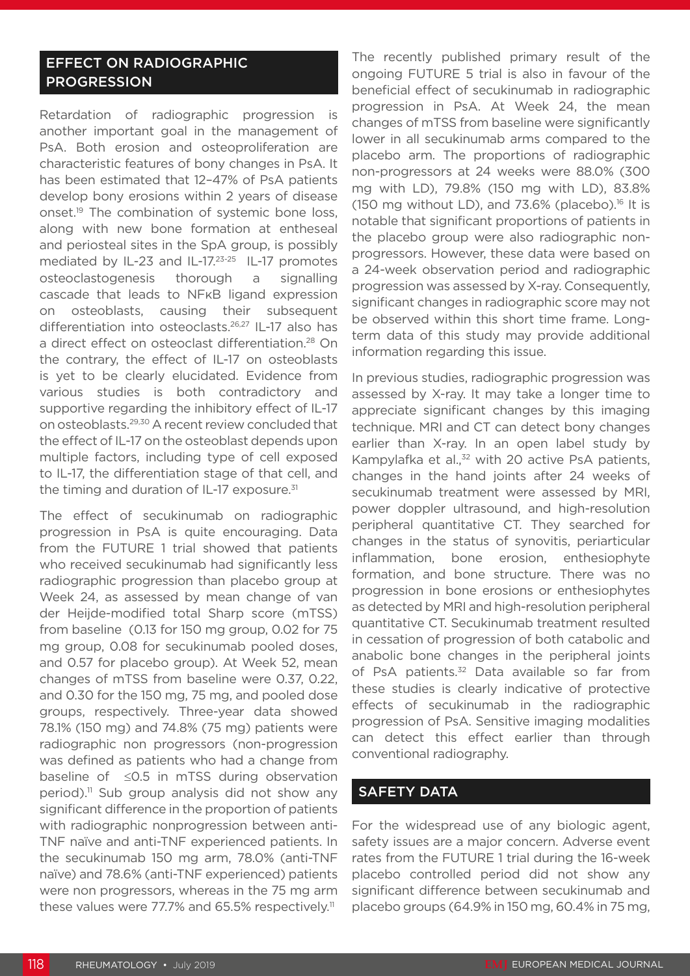#### EFFECT ON RADIOGRAPHIC PROGRESSION

Retardation of radiographic progression is another important goal in the management of PsA. Both erosion and osteoproliferation are characteristic features of bony changes in PsA. It has been estimated that 12–47% of PsA patients develop bony erosions within 2 years of disease onset.<sup>19</sup> The combination of systemic bone loss, along with new bone formation at entheseal and periosteal sites in the SpA group, is possibly mediated by IL-23 and IL-17.23-25 IL-17 promotes osteoclastogenesis thorough a signalling cascade that leads to NFκB ligand expression on osteoblasts, causing their subsequent differentiation into osteoclasts.26,27 IL-17 also has a direct effect on osteoclast differentiation.<sup>28</sup> On the contrary, the effect of IL-17 on osteoblasts is yet to be clearly elucidated. Evidence from various studies is both contradictory and supportive regarding the inhibitory effect of IL-17 on osteoblasts.29,30 A recent review concluded that the effect of IL-17 on the osteoblast depends upon multiple factors, including type of cell exposed to IL-17, the differentiation stage of that cell, and the timing and duration of IL-17 exposure.<sup>31</sup>

The effect of secukinumab on radiographic progression in PsA is quite encouraging. Data from the FUTURE 1 trial showed that patients who received secukinumab had significantly less radiographic progression than placebo group at Week 24, as assessed by mean change of van der Heijde-modified total Sharp score (mTSS) from baseline (0.13 for 150 mg group, 0.02 for 75 mg group, 0.08 for secukinumab pooled doses, and 0.57 for placebo group). At Week 52, mean changes of mTSS from baseline were 0.37, 0.22, and 0.30 for the 150 mg, 75 mg, and pooled dose groups, respectively. Three-year data showed 78.1% (150 mg) and 74.8% (75 mg) patients were radiographic non progressors (non-progression was defined as patients who had a change from baseline of ≤0.5 in mTSS during observation period).<sup>11</sup> Sub group analysis did not show any significant difference in the proportion of patients with radiographic nonprogression between anti-TNF naïve and anti-TNF experienced patients. In the secukinumab 150 mg arm, 78.0% (anti-TNF naïve) and 78.6% (anti-TNF experienced) patients were non progressors, whereas in the 75 mg arm these values were 77.7% and 65.5% respectively.<sup>11</sup>

The recently published primary result of the ongoing FUTURE 5 trial is also in favour of the beneficial effect of secukinumab in radiographic progression in PsA. At Week 24, the mean changes of mTSS from baseline were significantly lower in all secukinumab arms compared to the placebo arm. The proportions of radiographic non-progressors at 24 weeks were 88.0% (300 mg with LD), 79.8% (150 mg with LD), 83.8% (150 mg without LD), and  $73.6\%$  (placebo).<sup>16</sup> It is notable that significant proportions of patients in the placebo group were also radiographic nonprogressors. However, these data were based on a 24-week observation period and radiographic progression was assessed by X-ray. Consequently, significant changes in radiographic score may not be observed within this short time frame. Longterm data of this study may provide additional information regarding this issue.

In previous studies, radiographic progression was assessed by X-ray. It may take a longer time to appreciate significant changes by this imaging technique. MRI and CT can detect bony changes earlier than X-ray. In an open label study by Kampylafka et al.,<sup>32</sup> with 20 active PsA patients, changes in the hand joints after 24 weeks of secukinumab treatment were assessed by MRI, power doppler ultrasound, and high-resolution peripheral quantitative CT. They searched for changes in the status of synovitis, periarticular inflammation, bone erosion, enthesiophyte formation, and bone structure. There was no progression in bone erosions or enthesiophytes as detected by MRI and high-resolution peripheral quantitative CT. Secukinumab treatment resulted in cessation of progression of both catabolic and anabolic bone changes in the peripheral joints of PsA patients.<sup>32</sup> Data available so far from these studies is clearly indicative of protective effects of secukinumab in the radiographic progression of PsA. Sensitive imaging modalities can detect this effect earlier than through conventional radiography.

#### SAFETY DATA

For the widespread use of any biologic agent, safety issues are a major concern. Adverse event rates from the FUTURE 1 trial during the 16-week placebo controlled period did not show any significant difference between secukinumab and placebo groups (64.9% in 150 mg, 60.4% in 75 mg,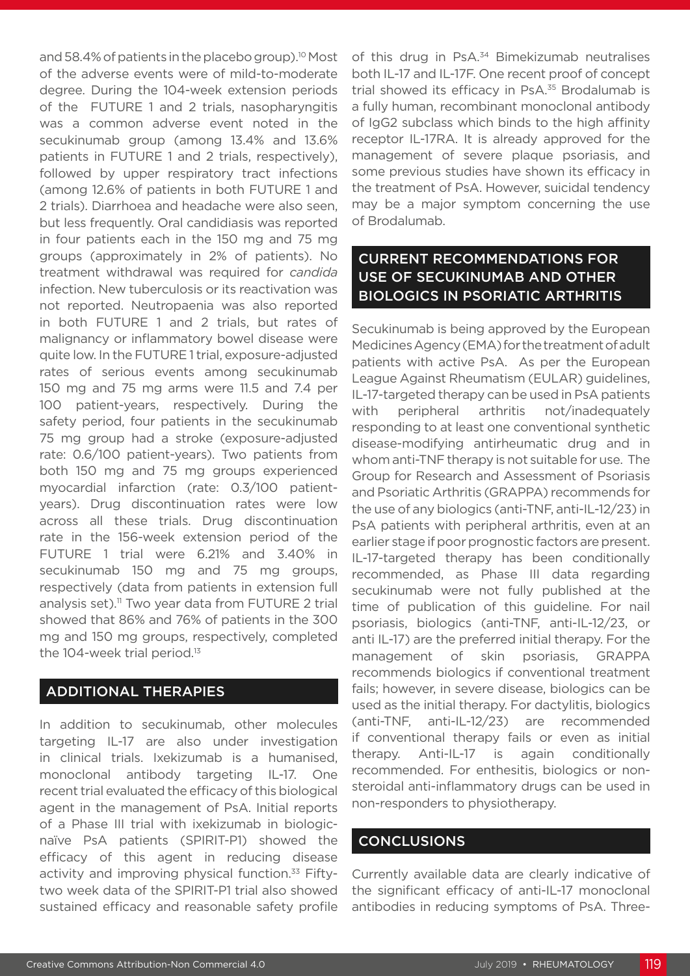and 58.4% of patients in the placebo group).<sup>10</sup> Most of the adverse events were of mild-to-moderate degree. During the 104-week extension periods of the FUTURE 1 and 2 trials, nasopharyngitis was a common adverse event noted in the secukinumab group (among 13.4% and 13.6% patients in FUTURE 1 and 2 trials, respectively), followed by upper respiratory tract infections (among 12.6% of patients in both FUTURE 1 and 2 trials). Diarrhoea and headache were also seen, but less frequently. Oral candidiasis was reported in four patients each in the 150 mg and 75 mg groups (approximately in 2% of patients). No treatment withdrawal was required for *candida* infection. New tuberculosis or its reactivation was not reported. Neutropaenia was also reported in both FUTURE 1 and 2 trials, but rates of malignancy or inflammatory bowel disease were quite low. In the FUTURE 1 trial, exposure-adjusted rates of serious events among secukinumab 150 mg and 75 mg arms were 11.5 and 7.4 per 100 patient-years, respectively. During the safety period, four patients in the secukinumab 75 mg group had a stroke (exposure-adjusted rate: 0.6/100 patient-years). Two patients from both 150 mg and 75 mg groups experienced myocardial infarction (rate: 0.3/100 patientyears). Drug discontinuation rates were low across all these trials. Drug discontinuation rate in the 156-week extension period of the FUTURE 1 trial were 6.21% and 3.40% in secukinumab 150 mg and 75 mg groups, respectively (data from patients in extension full analysis set).<sup>11</sup> Two year data from FUTURE 2 trial showed that 86% and 76% of patients in the 300 mg and 150 mg groups, respectively, completed the 104-week trial period.<sup>13</sup>

#### ADDITIONAL THERAPIES

In addition to secukinumab, other molecules targeting IL-17 are also under investigation in clinical trials. Ixekizumab is a humanised, monoclonal antibody targeting IL-17. One recent trial evaluated the efficacy of this biological agent in the management of PsA. Initial reports of a Phase III trial with ixekizumab in biologicnaïve PsA patients (SPIRIT-P1) showed the efficacy of this agent in reducing disease activity and improving physical function.<sup>33</sup> Fiftytwo week data of the SPIRIT-P1 trial also showed sustained efficacy and reasonable safety profile

of this drug in PsA.<sup>34</sup> Bimekizumab neutralises both IL-17 and IL-17F. One recent proof of concept trial showed its efficacy in PsA.<sup>35</sup> Brodalumab is a fully human, recombinant monoclonal antibody of IgG2 subclass which binds to the high affinity receptor IL-17RA. It is already approved for the management of severe plaque psoriasis, and some previous studies have shown its efficacy in the treatment of PsA. However, suicidal tendency may be a major symptom concerning the use of Brodalumab.

### CURRENT RECOMMENDATIONS FOR USE OF SECUKINUMAB AND OTHER BIOLOGICS IN PSORIATIC ARTHRITIS

Secukinumab is being approved by the European Medicines Agency (EMA) for the treatment of adult patients with active PsA. As per the European League Against Rheumatism (EULAR) guidelines, IL-17-targeted therapy can be used in PsA patients with peripheral arthritis not/inadequately responding to at least one conventional synthetic disease-modifying antirheumatic drug and in whom anti-TNF therapy is not suitable for use. The Group for Research and Assessment of Psoriasis and Psoriatic Arthritis (GRAPPA) recommends for the use of any biologics (anti-TNF, anti-IL-12/23) in PsA patients with peripheral arthritis, even at an earlier stage if poor prognostic factors are present. IL-17-targeted therapy has been conditionally recommended, as Phase III data regarding secukinumab were not fully published at the time of publication of this guideline. For nail psoriasis, biologics (anti-TNF, anti-IL-12/23, or anti IL-17) are the preferred initial therapy. For the management of skin psoriasis, GRAPPA recommends biologics if conventional treatment fails; however, in severe disease, biologics can be used as the initial therapy. For dactylitis, biologics (anti-TNF, anti-IL-12/23) are recommended if conventional therapy fails or even as initial therapy. Anti-IL-17 is again conditionally recommended. For enthesitis, biologics or nonsteroidal anti-inflammatory drugs can be used in non-responders to physiotherapy.

#### CONCLUSIONS

Currently available data are clearly indicative of the significant efficacy of anti-IL-17 monoclonal antibodies in reducing symptoms of PsA. Three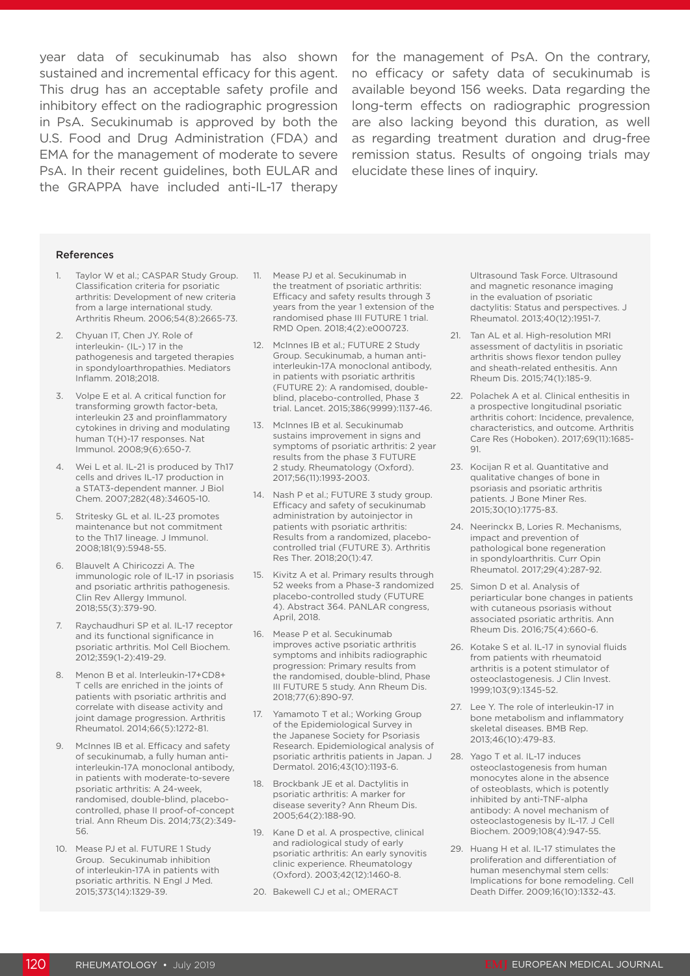sustained and incremental efficacy for this agent. This drug has an acceptable safety profile and inhibitory effect on the radiographic progression in PsA. Secukinumab is approved by both the U.S. Food and Drug Administration (FDA) and EMA for the management of moderate to severe PsA. In their recent guidelines, both EULAR and the GRAPPA have included anti-IL-17 therapy

year data of secukinumab has also shown for the management of PsA. On the contrary, no efficacy or safety data of secukinumab is available beyond 156 weeks. Data regarding the long-term effects on radiographic progression are also lacking beyond this duration, as well as regarding treatment duration and drug-free remission status. Results of ongoing trials may elucidate these lines of inquiry.

#### References

- 1. Taylor W et al.; CASPAR Study Group. Classification criteria for psoriatic arthritis: Development of new criteria from a large international study. Arthritis Rheum. 2006;54(8):2665-73.
- 2. Chyuan IT, Chen JY. Role of interleukin- (IL-) 17 in the pathogenesis and targeted therapies in spondyloarthropathies. Mediators Inflamm. 2018;2018.
- 3. Volpe E et al. A critical function for transforming growth factor-beta, interleukin 23 and proinflammatory cytokines in driving and modulating human T(H)-17 responses. Nat Immunol. 2008;9(6):650-7.
- 4. Wei L et al. IL-21 is produced by Th17 cells and drives IL-17 production in a STAT3-dependent manner. J Biol Chem. 2007;282(48):34605-10.
- 5. Stritesky GL et al. IL-23 promotes maintenance but not commitment to the Th17 lineage. J Immunol. 2008;181(9):5948-55.
- 6. Blauvelt A Chiricozzi A. The immunologic role of IL-17 in psoriasis and psoriatic arthritis pathogenesis. Clin Rev Allergy Immunol. 2018;55(3):379-90.
- 7. Raychaudhuri SP et al. IL-17 receptor and its functional significance in psoriatic arthritis. Mol Cell Biochem. 2012;359(1-2):419-29.
- 8. Menon B et al. Interleukin-17+CD8+ T cells are enriched in the joints of patients with psoriatic arthritis and correlate with disease activity and joint damage progression. Arthritis Rheumatol. 2014;66(5):1272-81.
- 9. McInnes IB et al. Efficacy and safety of secukinumab, a fully human antiinterleukin-17A monoclonal antibody, in patients with moderate-to-severe psoriatic arthritis: A 24-week, randomised, double-blind, placebocontrolled, phase II proof-of-concept trial. Ann Rheum Dis. 2014;73(2):349- 56.
- 10. Mease PJ et al. FUTURE 1 Study Group. Secukinumab inhibition of interleukin-17A in patients with psoriatic arthritis. N Engl J Med. 2015;373(14):1329-39.
- 11. Mease PJ et al. Secukinumab in the treatment of psoriatic arthritis: Efficacy and safety results through 3 years from the year 1 extension of the randomised phase III FUTURE 1 trial. RMD Open. 2018;4(2):e000723.
- 12. McInnes IB et al.; FUTURE 2 Study Group. Secukinumab, a human antiinterleukin-17A monoclonal antibody, in patients with psoriatic arthritis (FUTURE 2): A randomised, doubleblind, placebo-controlled, Phase 3 trial. Lancet. 2015;386(9999):1137-46.
- 13. McInnes IB et al. Secukinumab sustains improvement in signs and symptoms of psoriatic arthritis: 2 year results from the phase 3 FUTURE 2 study. Rheumatology (Oxford). 2017;56(11):1993-2003.
- 14. Nash P et al.; FUTURE 3 study group. Efficacy and safety of secukinumab administration by autoinjector in patients with psoriatic arthritis: Results from a randomized, placebocontrolled trial (FUTURE 3). Arthritis Res Ther. 2018;20(1):47.
- 15. Kivitz A et al. Primary results through 52 weeks from a Phase-3 randomized placebo-controlled study (FUTURE 4). Abstract 364. PANLAR congress, April, 2018.
- 16. Mease P et al. Secukinumab improves active psoriatic arthritis symptoms and inhibits radiographic progression: Primary results from the randomised, double-blind, Phase III FUTURE 5 study. Ann Rheum Dis. 2018;77(6):890-97.
- 17. Yamamoto T et al.; Working Group of the Epidemiological Survey in the Japanese Society for Psoriasis Research. Epidemiological analysis of psoriatic arthritis patients in Japan. J Dermatol. 2016;43(10):1193-6.
- 18. Brockbank JE et al. Dactylitis in psoriatic arthritis: A marker for disease severity? Ann Rheum Dis. 2005;64(2):188-90.
- 19. Kane D et al. A prospective, clinical and radiological study of early psoriatic arthritis: An early synovitis clinic experience. Rheumatology (Oxford). 2003;42(12):1460-8.
- 20. Bakewell CJ et al.; OMERACT

Ultrasound Task Force. Ultrasound and magnetic resonance imaging in the evaluation of psoriatic dactylitis: Status and perspectives. J Rheumatol. 2013;40(12):1951-7.

- 21. Tan AL et al. High-resolution MRI assessment of dactylitis in psoriatic arthritis shows flexor tendon pulley and sheath-related enthesitis. Ann Rheum Dis. 2015;74(1):185-9.
- 22. Polachek A et al. Clinical enthesitis in a prospective longitudinal psoriatic arthritis cohort: Incidence, prevalence, characteristics, and outcome. Arthritis Care Res (Hoboken). 2017;69(11):1685- 91.
- 23. Kocijan R et al. Quantitative and qualitative changes of bone in psoriasis and psoriatic arthritis patients. J Bone Miner Res. 2015;30(10):1775-83.
- 24. Neerinckx B, Lories R. Mechanisms, impact and prevention of pathological bone regeneration in spondyloarthritis. Curr Opin Rheumatol. 2017;29(4):287-92.
- 25. Simon D et al. Analysis of periarticular bone changes in patients with cutaneous psoriasis without associated psoriatic arthritis. Ann Rheum Dis. 2016;75(4):660-6.
- 26. Kotake S et al. IL-17 in synovial fluids from patients with rheumatoid arthritis is a potent stimulator of osteoclastogenesis. J Clin Invest. 1999;103(9):1345-52.
- 27. Lee Y. The role of interleukin-17 in bone metabolism and inflammatory skeletal diseases. BMB Rep. 2013;46(10):479-83.
- 28. Yago T et al. IL-17 induces osteoclastogenesis from human monocytes alone in the absence of osteoblasts, which is potently inhibited by anti-TNF-alpha antibody: A novel mechanism of osteoclastogenesis by IL-17. J Cell Biochem. 2009;108(4):947-55.
- 29. Huang H et al. IL-17 stimulates the proliferation and differentiation of human mesenchymal stem cells: Implications for bone remodeling. Cell Death Differ. 2009;16(10):1332-43.